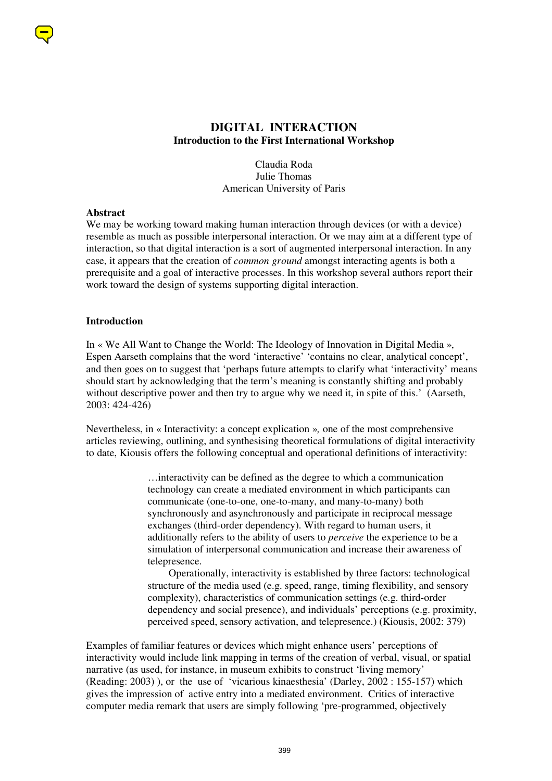

# **DIGITAL INTERACTION Introduction to the First International Workshop**

Claudia Roda Julie Thomas American University of Paris

#### **Abstract**

We may be working toward making human interaction through devices (or with a device) resemble as much as possible interpersonal interaction. Or we may aim at a different type of interaction, so that digital interaction is a sort of augmented interpersonal interaction. In any case, it appears that the creation of *common ground* amongst interacting agents is both a prerequisite and a goal of interactive processes. In this workshop several authors report their work toward the design of systems supporting digital interaction.

#### **Introduction**

In « We All Want to Change the World: The Ideology of Innovation in Digital Media », Espen Aarseth complains that the word 'interactive' 'contains no clear, analytical concept', and then goes on to suggest that 'perhaps future attempts to clarify what 'interactivity' means should start by acknowledging that the term's meaning is constantly shifting and probably without descriptive power and then try to argue why we need it, in spite of this.' (Aarseth, 2003: 424-426)

Nevertheless, in « Interactivity: a concept explication »*,* one of the most comprehensive articles reviewing, outlining, and synthesising theoretical formulations of digital interactivity to date, Kiousis offers the following conceptual and operational definitions of interactivity:

> …interactivity can be defined as the degree to which a communication technology can create a mediated environment in which participants can communicate (one-to-one, one-to-many, and many-to-many) both synchronously and asynchronously and participate in reciprocal message exchanges (third-order dependency). With regard to human users, it additionally refers to the ability of users to *perceive* the experience to be a simulation of interpersonal communication and increase their awareness of telepresence.

 Operationally, interactivity is established by three factors: technological structure of the media used (e.g. speed, range, timing flexibility, and sensory complexity), characteristics of communication settings (e.g. third-order dependency and social presence), and individuals' perceptions (e.g. proximity, perceived speed, sensory activation, and telepresence.) (Kiousis, 2002: 379)

Examples of familiar features or devices which might enhance users' perceptions of interactivity would include link mapping in terms of the creation of verbal, visual, or spatial narrative (as used, for instance, in museum exhibits to construct 'living memory' (Reading: 2003) ), or the use of 'vicarious kinaesthesia' (Darley, 2002 : 155-157) which gives the impression of active entry into a mediated environment. Critics of interactive computer media remark that users are simply following 'pre-programmed, objectively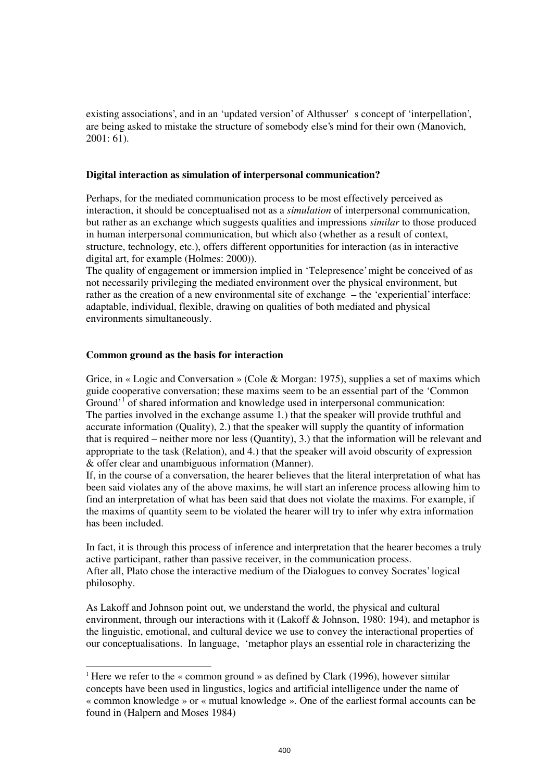existing associations', and in an 'updated version' of Althusser's concept of 'interpellation', are being asked to mistake the structure of somebody else's mind for their own (Manovich, 2001: 61).

### **Digital interaction as simulation of interpersonal communication?**

Perhaps, for the mediated communication process to be most effectively perceived as interaction, it should be conceptualised not as a *simulation* of interpersonal communication, but rather as an exchange which suggests qualities and impressions *similar* to those produced in human interpersonal communication, but which also (whether as a result of context, structure, technology, etc.), offers different opportunities for interaction (as in interactive digital art, for example (Holmes: 2000)).

The quality of engagement or immersion implied in 'Telepresence' might be conceived of as not necessarily privileging the mediated environment over the physical environment, but rather as the creation of a new environmental site of exchange – the 'experiential' interface: adaptable, individual, flexible, drawing on qualities of both mediated and physical environments simultaneously.

#### **Common ground as the basis for interaction**

 $\overline{a}$ 

Grice, in « Logic and Conversation » (Cole & Morgan: 1975), supplies a set of maxims which guide cooperative conversation; these maxims seem to be an essential part of the 'Common Ground<sup>, 1</sup> of shared information and knowledge used in interpersonal communication: The parties involved in the exchange assume 1.) that the speaker will provide truthful and accurate information (Quality), 2.) that the speaker will supply the quantity of information that is required – neither more nor less (Quantity), 3.) that the information will be relevant and appropriate to the task (Relation), and 4.) that the speaker will avoid obscurity of expression & offer clear and unambiguous information (Manner).

If, in the course of a conversation, the hearer believes that the literal interpretation of what has been said violates any of the above maxims, he will start an inference process allowing him to find an interpretation of what has been said that does not violate the maxims. For example, if the maxims of quantity seem to be violated the hearer will try to infer why extra information has been included.

In fact, it is through this process of inference and interpretation that the hearer becomes a truly active participant, rather than passive receiver, in the communication process. After all, Plato chose the interactive medium of the Dialogues to convey Socrates' logical philosophy.

As Lakoff and Johnson point out, we understand the world, the physical and cultural environment, through our interactions with it (Lakoff & Johnson, 1980: 194), and metaphor is the linguistic, emotional, and cultural device we use to convey the interactional properties of our conceptualisations. In language, 'metaphor plays an essential role in characterizing the

<sup>1</sup> Here we refer to the « common ground » as defined by Clark (1996), however similar concepts have been used in lingustics, logics and artificial intelligence under the name of « common knowledge » or « mutual knowledge ». One of the earliest formal accounts can be found in (Halpern and Moses 1984)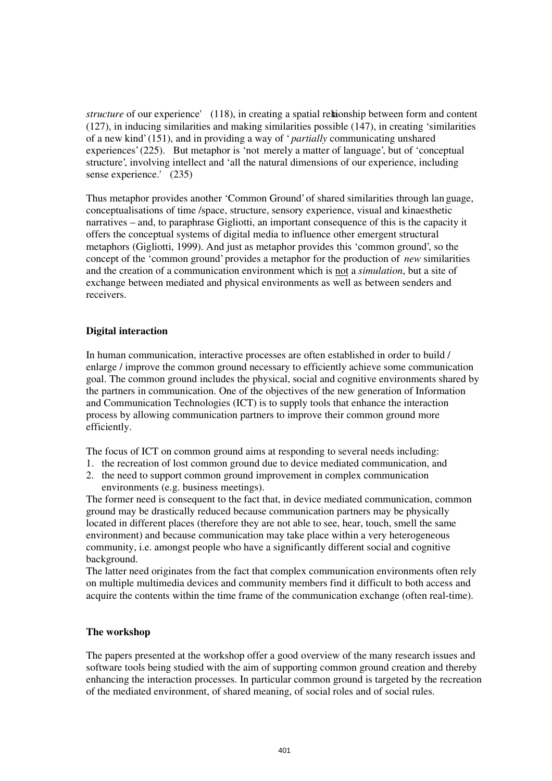*structure* of our experience' (118), in creating a spatial reltaionship between form and content (127), in inducing similarities and making similarities possible (147), in creating 'similarities of a new kind' (151), and in providing a way of ' *partially* communicating unshared experiences' (225). But metaphor is 'not merely a matter of language', but of 'conceptual structure', involving intellect and 'all the natural dimensions of our experience, including sense experience.' (235)

Thus metaphor provides another 'Common Ground' of shared similarities through lan guage, conceptualisations of time /space, structure, sensory experience, visual and kinaesthetic narratives – and, to paraphrase Gigliotti, an important consequence of this is the capacity it offers the conceptual systems of digital media to influence other emergent structural metaphors (Gigliotti, 1999). And just as metaphor provides this 'common ground', so the concept of the 'common ground' provides a metaphor for the production of *new* similarities and the creation of a communication environment which is not a *simulation*, but a site of exchange between mediated and physical environments as well as between senders and receivers.

# **Digital interaction**

In human communication, interactive processes are often established in order to build / enlarge / improve the common ground necessary to efficiently achieve some communication goal. The common ground includes the physical, social and cognitive environments shared by the partners in communication. One of the objectives of the new generation of Information and Communication Technologies (ICT) is to supply tools that enhance the interaction process by allowing communication partners to improve their common ground more efficiently.

The focus of ICT on common ground aims at responding to several needs including:

- 1. the recreation of lost common ground due to device mediated communication, and
- 2. the need to support common ground improvement in complex communication environments (e.g. business meetings).

The former need is consequent to the fact that, in device mediated communication, common ground may be drastically reduced because communication partners may be physically located in different places (therefore they are not able to see, hear, touch, smell the same environment) and because communication may take place within a very heterogeneous community, i.e. amongst people who have a significantly different social and cognitive background.

The latter need originates from the fact that complex communication environments often rely on multiple multimedia devices and community members find it difficult to both access and acquire the contents within the time frame of the communication exchange (often real-time).

## **The workshop**

The papers presented at the workshop offer a good overview of the many research issues and software tools being studied with the aim of supporting common ground creation and thereby enhancing the interaction processes. In particular common ground is targeted by the recreation of the mediated environment, of shared meaning, of social roles and of social rules.